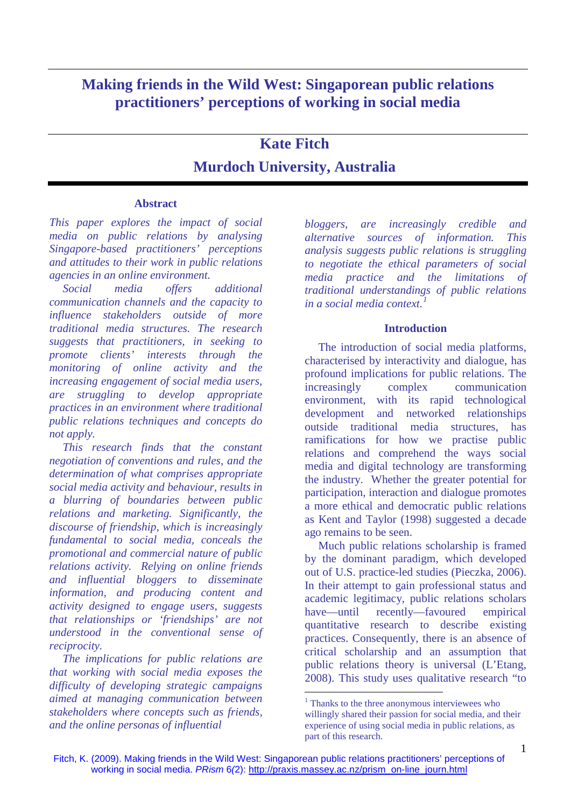## **Making friends in the Wild West: Singaporean public relations practitioners' perceptions of working in social media**

# **Kate Fitch Murdoch University, Australia**

#### **Abstract**

*This paper explores the impact of social media on public relations by analysing Singapore-based practitioners' perceptions and attitudes to their work in public relations agencies in an online environment.* 

*Social media offers additional communication channels and the capacity to influence stakeholders outside of more traditional media structures. The research suggests that practitioners, in seeking to promote clients' interests through the monitoring of online activity and the increasing engagement of social media users, are struggling to develop appropriate practices in an environment where traditional public relations techniques and concepts do not apply.* 

*This research finds that the constant negotiation of conventions and rules, and the determination of what comprises appropriate social media activity and behaviour, results in a blurring of boundaries between public relations and marketing. Significantly, the discourse of friendship, which is increasingly fundamental to social media, conceals the promotional and commercial nature of public relations activity. Relying on online friends and influential bloggers to disseminate information, and producing content and activity designed to engage users, suggests that relationships or 'friendships' are not understood in the conventional sense of reciprocity.* 

<span id="page-0-0"></span>*The implications for public relations are that working with social media exposes the difficulty of developing strategic campaigns aimed at managing communication between stakeholders where concepts such as friends, and the online personas of influential* 

*bloggers, are increasingly credible and alternative sources of information. This analysis suggests public relations is struggling to negotiate the ethical parameters of social media practice and the limitations of traditional understandings of public relations in a social media context.* 

## **Introduction**

The introduction of social media platforms, characterised by interactivity and dialogue, has profound implications for public relations. The increasingly complex communication environment, with its rapid technological development and networked relationships outside traditional media structures, has ramifications for how we practise public relations and comprehend the ways social media and digital technology are transforming the industry. Whether the greater potential for participation, interaction and dialogue promotes a more ethical and democratic public relations as Kent and Taylor (1998) suggested a decade ago remains to be seen.

Much public relations scholarship is framed by the dominant paradigm, which developed out of U.S. practice-led studies (Pieczka, 2006). In their attempt to gain professional status and academic legitimacy, public relations scholars have—until recently—favoured empirical quantitative research to describe existing practices. Consequently, there is an absence of critical scholarship and an assumption that public relations theory is universal (L'Etang, 2008). This study uses qualitative research "to

<sup>&</sup>lt;sup>1</sup> Thanks to the three anonymous interviewees who willingly shared their passion for social media, and their experience of using social media in public relations, as part of this research.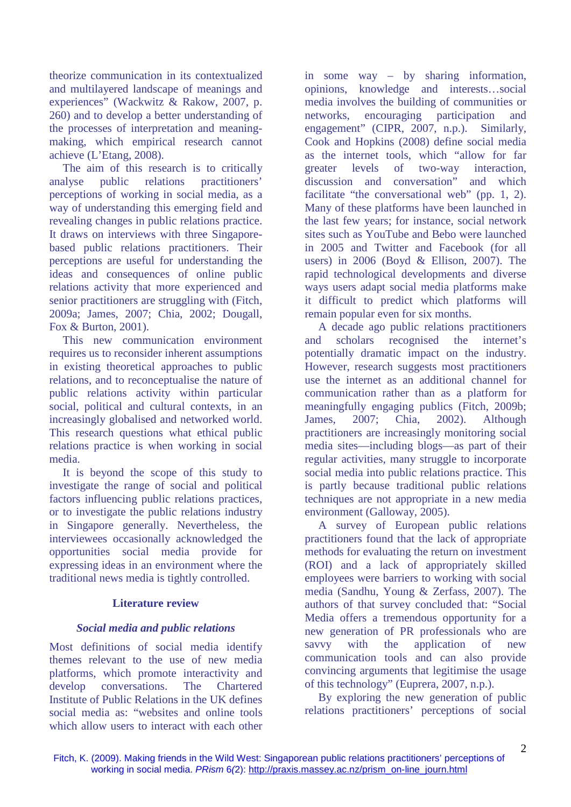theorize communication in its contextualized and multilayered landscape of meanings and experiences" (Wackwitz & Rakow, 2007, p. 260) and to develop a better understanding of the processes of interpretation and meaningmaking, which empirical research cannot achieve (L'Etang, 2008).

The aim of this research is to critically analyse public relations practitioners' perceptions of working in social media, as a way of understanding this emerging field and revealing changes in public relations practice. It draws on interviews with three Singaporebased public relations practitioners. Their perceptions are useful for understanding the ideas and consequences of online public relations activity that more experienced and senior practitioners are struggling with (Fitch, 2009a; James, 2007; Chia, 2002; Dougall, Fox & Burton, 2001).

This new communication environment requires us to reconsider inherent assumptions in existing theoretical approaches to public relations, and to reconceptualise the nature of public relations activity within particular social, political and cultural contexts, in an increasingly globalised and networked world. This research questions what ethical public relations practice is when working in social media.

It is beyond the scope of this study to investigate the range of social and political factors influencing public relations practices, or to investigate the public relations industry in Singapore generally. Nevertheless, the interviewees occasionally acknowledged the opportunities social media provide for expressing ideas in an environment where the traditional news media is tightly controlled.

#### **Literature review**

#### *Social media and public relations*

Most definitions of social media identify themes relevant to the use of new media platforms, which promote interactivity and develop conversations. The Chartered Institute of Public Relations in the UK defines social media as: "websites and online tools which allow users to interact with each other in some way – by sharing information, opinions, knowledge and interests…social media involves the building of communities or networks, encouraging participation and engagement" (CIPR, 2007, n.p.). Similarly, Cook and Hopkins (2008) define social media as the internet tools, which "allow for far greater levels of two-way interaction, discussion and conversation" and which facilitate "the conversational web" (pp. 1, 2). Many of these platforms have been launched in the last few years; for instance, social network sites such as YouTube and Bebo were launched in 2005 and Twitter and Facebook (for all users) in 2006 (Boyd & Ellison, 2007). The rapid technological developments and diverse ways users adapt social media platforms make it difficult to predict which platforms will remain popular even for six months.

A decade ago public relations practitioners and scholars recognised the internet's potentially dramatic impact on the industry. However, research suggests most practitioners use the internet as an additional channel for communication rather than as a platform for meaningfully engaging publics (Fitch, 2009b; James, 2007; Chia, 2002). Although practitioners are increasingly monitoring social media sites—including blogs—as part of their regular activities, many struggle to incorporate social media into public relations practice. This is partly because traditional public relations techniques are not appropriate in a new media environment (Galloway, 2005).

A survey of European public relations practitioners found that the lack of appropriate methods for evaluating the return on investment (ROI) and a lack of appropriately skilled employees were barriers to working with social media (Sandhu, Young & Zerfass, 2007). The authors of that survey concluded that: "Social Media offers a tremendous opportunity for a new generation of PR professionals who are savvy with the application of new communication tools and can also provide convincing arguments that legitimise the usage of this technology" (Euprera, 2007, n.p.).

By exploring the new generation of public relations practitioners' perceptions of social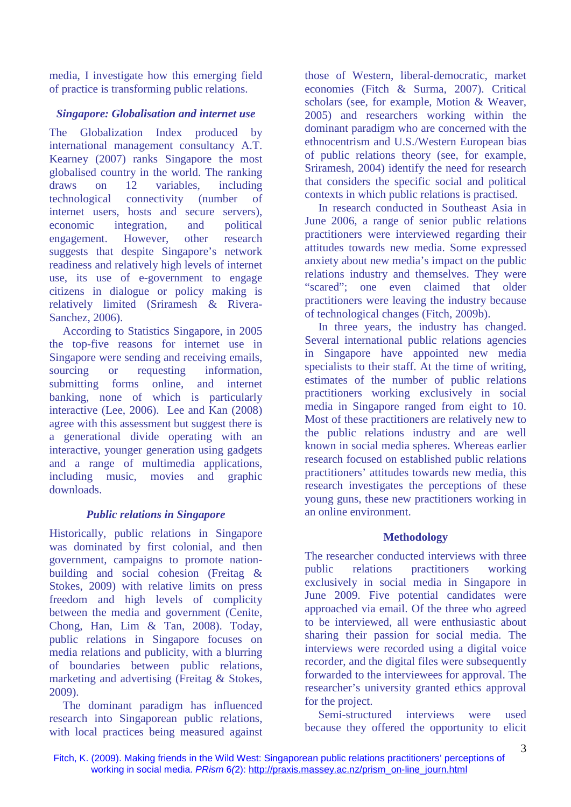media, I investigate how this emerging field of practice is transforming public relations.

## *Singapore: Globalisation and internet use*

The Globalization Index produced by international management consultancy A.T. Kearney (2007) ranks Singapore the most globalised country in the world. The ranking draws on 12 variables, including technological connectivity (number of internet users, hosts and secure servers), economic integration, and political engagement. However, other research suggests that despite Singapore's network readiness and relatively high levels of internet use, its use of e-government to engage citizens in dialogue or policy making is relatively limited (Sriramesh & Rivera-Sanchez, 2006).

According to Statistics Singapore, in 2005 the top-five reasons for internet use in Singapore were sending and receiving emails, sourcing or requesting information, submitting forms online, and internet banking, none of which is particularly interactive (Lee, 2006). Lee and Kan (2008) agree with this assessment but suggest there is a generational divide operating with an interactive, younger generation using gadgets and a range of multimedia applications, including music, movies and graphic downloads.

## *Public relations in Singapore*

Historically, public relations in Singapore was dominated by first colonial, and then government, campaigns to promote nationbuilding and social cohesion (Freitag & Stokes, 2009) with relative limits on press freedom and high levels of complicity between the media and government (Cenite, Chong, Han, Lim & Tan, 2008). Today, public relations in Singapore focuses on media relations and publicity, with a blurring of boundaries between public relations, marketing and advertising (Freitag & Stokes, 2009).

The dominant paradigm has influenced research into Singaporean public relations, with local practices being measured against those of Western, liberal-democratic, market economies (Fitch & Surma, 2007). Critical scholars (see, for example, Motion & Weaver, 2005) and researchers working within the dominant paradigm who are concerned with the ethnocentrism and U.S./Western European bias of public relations theory (see, for example, Sriramesh, 2004) identify the need for research that considers the specific social and political contexts in which public relations is practised.

In research conducted in Southeast Asia in June 2006, a range of senior public relations practitioners were interviewed regarding their attitudes towards new media. Some expressed anxiety about new media's impact on the public relations industry and themselves. They were "scared"; one even claimed that older practitioners were leaving the industry because of technological changes (Fitch, 2009b).

In three years, the industry has changed. Several international public relations agencies in Singapore have appointed new media specialists to their staff. At the time of writing, estimates of the number of public relations practitioners working exclusively in social media in Singapore ranged from eight to 10. Most of these practitioners are relatively new to the public relations industry and are well known in social media spheres. Whereas earlier research focused on established public relations practitioners' attitudes towards new media, this research investigates the perceptions of these young guns, these new practitioners working in an online environment.

## **Methodology**

The researcher conducted interviews with three public relations practitioners working exclusively in social media in Singapore in June 2009. Five potential candidates were approached via email. Of the three who agreed to be interviewed, all were enthusiastic about sharing their passion for social media. The interviews were recorded using a digital voice recorder, and the digital files were subsequently forwarded to the interviewees for approval. The researcher's university granted ethics approval for the project.

Semi-structured interviews were used because they offered the opportunity to elicit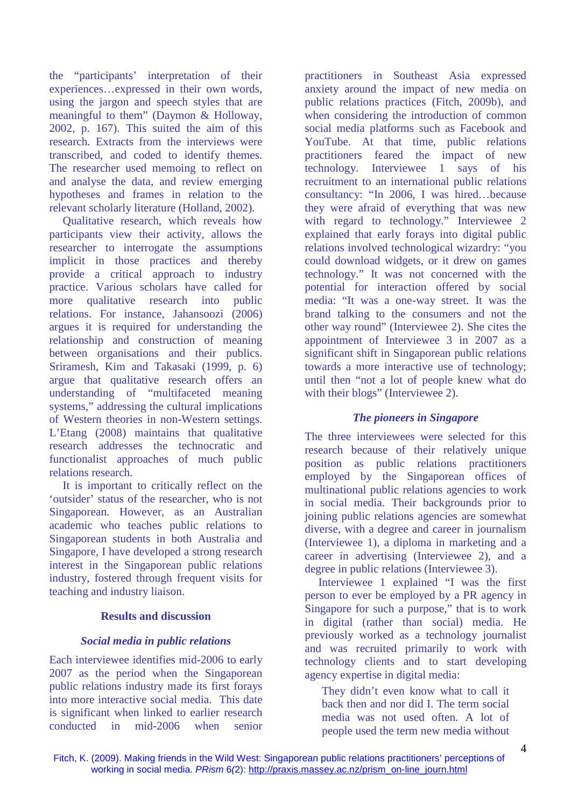the "participants' interpretation of their experiences…expressed in their own words, using the jargon and speech styles that are meaningful to them" (Daymon & Holloway, 2002, p. 167). This suited the aim of this research. Extracts from the interviews were transcribed, and coded to identify themes. The researcher used memoing to reflect on and analyse the data, and review emerging hypotheses and frames in relation to the relevant scholarly literature (Holland, 2002).

Qualitative research, which reveals how participants view their activity, allows the researcher to interrogate the assumptions implicit in those practices and thereby provide a critical approach to industry practice. Various scholars have called for more qualitative research into public relations. For instance, Jahansoozi (2006) argues it is required for understanding the relationship and construction of meaning between organisations and their publics. Sriramesh, Kim and Takasaki (1999, p. 6) argue that qualitative research offers an understanding of "multifaceted meaning systems," addressing the cultural implications of Western theories in non-Western settings. L'Etang (2008) maintains that qualitative research addresses the technocratic and functionalist approaches of much public relations research.

It is important to critically reflect on the 'outsider' status of the researcher, who is not Singaporean. However, as an Australian academic who teaches public relations to Singaporean students in both Australia and Singapore, I have developed a strong research interest in the Singaporean public relations industry, fostered through frequent visits for teaching and industry liaison.

#### **Results and discussion**

#### *Social media in public relations*

Each interviewee identifies mid-2006 to early 2007 as the period when the Singaporean public relations industry made its first forays into more interactive social media. This date is significant when linked to earlier research conducted in mid-2006 when senior

practitioners in Southeast Asia expressed anxiety around the impact of new media on public relations practices (Fitch, 2009b), and when considering the introduction of common social media platforms such as Facebook and YouTube. At that time, public relations practitioners feared the impact of new technology. Interviewee 1 says of his recruitment to an international public relations consultancy: "In 2006, I was hired…because they were afraid of everything that was new with regard to technology." Interviewee 2 explained that early forays into digital public relations involved technological wizardry: "you could download widgets, or it drew on games technology." It was not concerned with the potential for interaction offered by social media: "It was a one-way street. It was the brand talking to the consumers and not the other way round" (Interviewee 2). She cites the appointment of Interviewee 3 in 2007 as a significant shift in Singaporean public relations towards a more interactive use of technology; until then "not a lot of people knew what do with their blogs" (Interviewee 2).

## *The pioneers in Singapore*

The three interviewees were selected for this research because of their relatively unique position as public relations practitioners employed by the Singaporean offices of multinational public relations agencies to work in social media. Their backgrounds prior to joining public relations agencies are somewhat diverse, with a degree and career in journalism (Interviewee 1), a diploma in marketing and a career in advertising (Interviewee 2), and a degree in public relations (Interviewee 3).

Interviewee 1 explained "I was the first person to ever be employed by a PR agency in Singapore for such a purpose," that is to work in digital (rather than social) media. He previously worked as a technology journalist and was recruited primarily to work with technology clients and to start developing agency expertise in digital media:

They didn't even know what to call it back then and nor did I. The term social media was not used often. A lot of people used the term new media without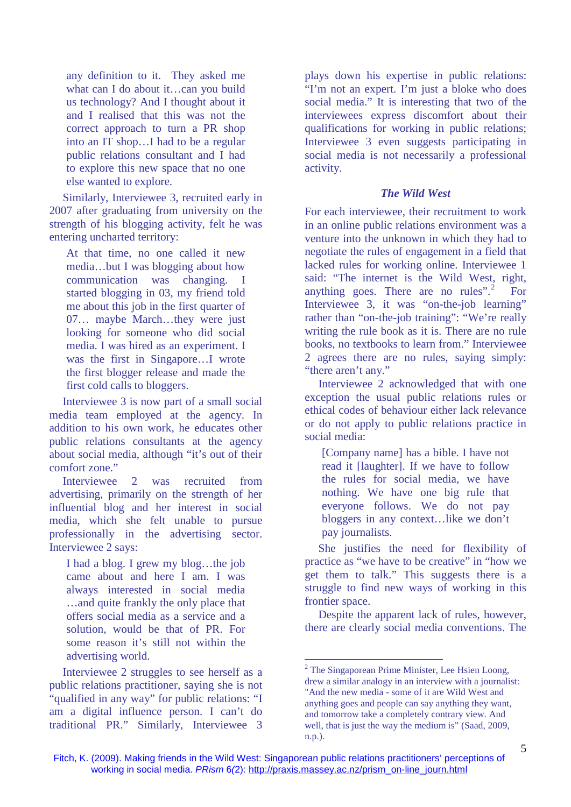any definition to it. They asked me what can I do about it…can you build us technology? And I thought about it and I realised that this was not the correct approach to turn a PR shop into an IT shop…I had to be a regular public relations consultant and I had to explore this new space that no one else wanted to explore.

Similarly, Interviewee 3, recruited early in 2007 after graduating from university on the strength of his blogging activity, felt he was entering uncharted territory:

At that time, no one called it new media…but I was blogging about how communication was changing. I started blogging in 03, my friend told me about this job in the first quarter of 07… maybe March…they were just looking for someone who did social media. I was hired as an experiment. I was the first in Singapore…I wrote the first blogger release and made the first cold calls to bloggers.

Interviewee 3 is now part of a small social media team employed at the agency. In addition to his own work, he educates other public relations consultants at the agency about social media, although "it's out of their comfort zone."

Interviewee 2 was recruited from advertising, primarily on the strength of her influential blog and her interest in social media, which she felt unable to pursue professionally in the advertising sector. Interviewee 2 says:

I had a blog. I grew my blog…the job came about and here I am. I was always interested in social media …and quite frankly the only place that offers social media as a service and a solution, would be that of PR. For some reason it's still not within the advertising world.

<span id="page-4-0"></span>Interviewee 2 struggles to see herself as a public relations practitioner, saying she is not "qualified in any way" for public relations: "I am a digital influence person. I can't do traditional PR." Similarly, Interviewee 3

plays down his expertise in public relations: "I'm not an expert. I'm just a bloke who does social media." It is interesting that two of the interviewees express discomfort about their qualifications for working in public relations; Interviewee 3 even suggests participating in social media is not necessarily a professional activity.

## *The Wild West*

For each interviewee, their recruitment to work in an online public relations environment was a venture into the unknown in which they had to negotiate the rules of engagement in a field that lacked rules for working online. Interviewee 1 said: "The internet is the Wild West, right, anything goes. There are no rules". $2^2$  $2^2$  For Interviewee 3, it was "on-the-job learning" rather than "on-the-job training": "We're really writing the rule book as it is. There are no rule books, no textbooks to learn from." Interviewee 2 agrees there are no rules, saying simply: "there aren't any."

Interviewee 2 acknowledged that with one exception the usual public relations rules or ethical codes of behaviour either lack relevance or do not apply to public relations practice in social media:

[Company name] has a bible. I have not read it [laughter]. If we have to follow the rules for social media, we have nothing. We have one big rule that everyone follows. We do not pay bloggers in any context…like we don't pay journalists.

She justifies the need for flexibility of practice as "we have to be creative" in "how we get them to talk." This suggests there is a struggle to find new ways of working in this frontier space.

Despite the apparent lack of rules, however, there are clearly social media conventions. The

 $2$  The Singaporean Prime Minister, Lee Hsien Loong, drew a similar analogy in an interview with a journalist: "And the new media - some of it are Wild West and anything goes and people can say anything they want, and tomorrow take a completely contrary view. And well, that is just the way the medium is" (Saad, 2009, n.p.).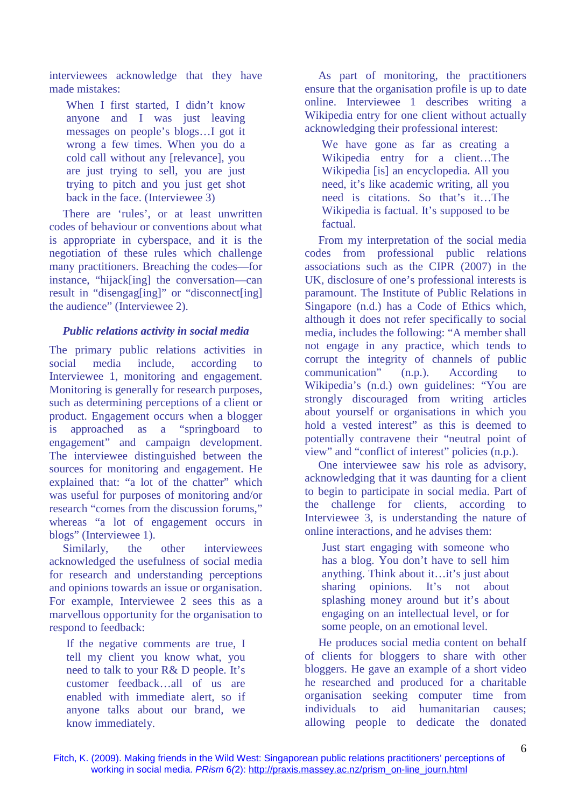interviewees acknowledge that they have made mistakes:

When I first started, I didn't know anyone and I was just leaving messages on people's blogs…I got it wrong a few times. When you do a cold call without any [relevance], you are just trying to sell, you are just trying to pitch and you just get shot back in the face. (Interviewee 3)

There are 'rules', or at least unwritten codes of behaviour or conventions about what is appropriate in cyberspace, and it is the negotiation of these rules which challenge many practitioners. Breaching the codes—for instance, "hijack[ing] the conversation—can result in "disengag[ing]" or "disconnect[ing] the audience" (Interviewee 2).

## *Public relations activity in social media*

The primary public relations activities in social media include, according to Interviewee 1, monitoring and engagement. Monitoring is generally for research purposes, such as determining perceptions of a client or product. Engagement occurs when a blogger is approached as a "springboard to engagement" and campaign development. The interviewee distinguished between the sources for monitoring and engagement. He explained that: "a lot of the chatter" which was useful for purposes of monitoring and/or research "comes from the discussion forums," whereas "a lot of engagement occurs in blogs" (Interviewee 1).

Similarly, the other interviewees acknowledged the usefulness of social media for research and understanding perceptions and opinions towards an issue or organisation. For example, Interviewee 2 sees this as a marvellous opportunity for the organisation to respond to feedback:

If the negative comments are true, I tell my client you know what, you need to talk to your R& D people. It's customer feedback…all of us are enabled with immediate alert, so if anyone talks about our brand, we know immediately.

As part of monitoring, the practitioners ensure that the organisation profile is up to date online. Interviewee 1 describes writing a Wikipedia entry for one client without actually acknowledging their professional interest:

We have gone as far as creating a Wikipedia entry for a client…The Wikipedia [is] an encyclopedia. All you need, it's like academic writing, all you need is citations. So that's it…The Wikipedia is factual. It's supposed to be factual.

From my interpretation of the social media codes from professional public relations associations such as the CIPR (2007) in the UK, disclosure of one's professional interests is paramount. The Institute of Public Relations in Singapore (n.d.) has a Code of Ethics which, although it does not refer specifically to social media, includes the following: "A member shall not engage in any practice, which tends to corrupt the integrity of channels of public communication" (n.p.). According to Wikipedia's (n.d.) own guidelines: "You are strongly discouraged from writing articles about yourself or organisations in which you hold a vested interest" as this is deemed to potentially contravene their "neutral point of view" and "conflict of interest" policies (n.p.).

One interviewee saw his role as advisory, acknowledging that it was daunting for a client to begin to participate in social media. Part of the challenge for clients, according to Interviewee 3, is understanding the nature of online interactions, and he advises them:

Just start engaging with someone who has a blog. You don't have to sell him anything. Think about it…it's just about sharing opinions. It's not about splashing money around but it's about engaging on an intellectual level, or for some people, on an emotional level.

He produces social media content on behalf of clients for bloggers to share with other bloggers. He gave an example of a short video he researched and produced for a charitable organisation seeking computer time from individuals to aid humanitarian causes; allowing people to dedicate the donated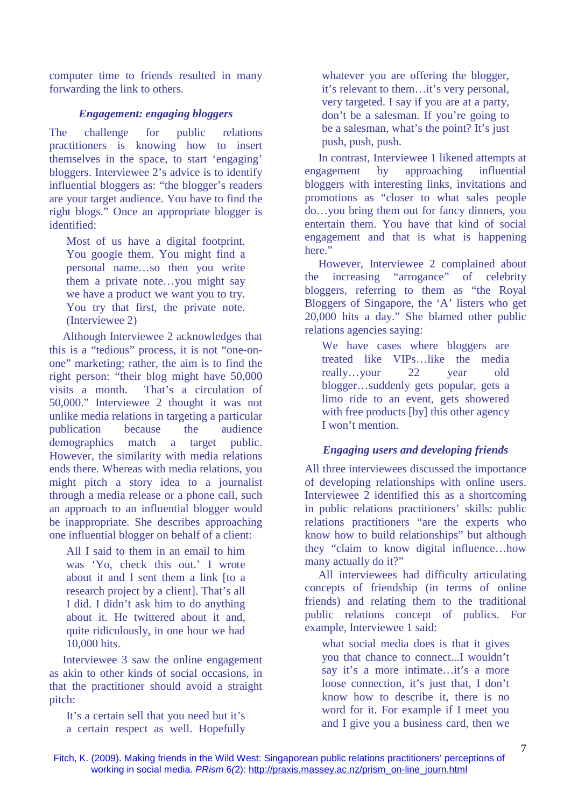computer time to friends resulted in many forwarding the link to others.

## *Engagement: engaging bloggers*

The challenge for public relations practitioners is knowing how to insert themselves in the space, to start 'engaging' bloggers. Interviewee 2's advice is to identify influential bloggers as: "the blogger's readers are your target audience. You have to find the right blogs." Once an appropriate blogger is identified:

Most of us have a digital footprint. You google them. You might find a personal name…so then you write them a private note…you might say we have a product we want you to try. You try that first, the private note. (Interviewee 2)

Although Interviewee 2 acknowledges that this is a "tedious" process, it is not "one-onone" marketing; rather, the aim is to find the right person: "their blog might have 50,000 visits a month. That's a circulation of 50,000." Interviewee 2 thought it was not unlike media relations in targeting a particular publication because the audience demographics match a target public. However, the similarity with media relations ends there. Whereas with media relations, you might pitch a story idea to a journalist through a media release or a phone call, such an approach to an influential blogger would be inappropriate. She describes approaching one influential blogger on behalf of a client:

All I said to them in an email to him was 'Yo, check this out.' I wrote about it and I sent them a link [to a research project by a client]. That's all I did. I didn't ask him to do anything about it. He twittered about it and, quite ridiculously, in one hour we had 10,000 hits.

Interviewee 3 saw the online engagement as akin to other kinds of social occasions, in that the practitioner should avoid a straight pitch:

It's a certain sell that you need but it's a certain respect as well. Hopefully whatever you are offering the blogger, it's relevant to them…it's very personal, very targeted. I say if you are at a party, don't be a salesman. If you're going to be a salesman, what's the point? It's just push, push, push.

In contrast, Interviewee 1 likened attempts at engagement by approaching influential bloggers with interesting links, invitations and promotions as "closer to what sales people do…you bring them out for fancy dinners, you entertain them. You have that kind of social engagement and that is what is happening here."

However, Interviewee 2 complained about the increasing "arrogance" of celebrity bloggers, referring to them as "the Royal Bloggers of Singapore, the 'A' listers who get 20,000 hits a day." She blamed other public relations agencies saying:

We have cases where bloggers are treated like VIPs…like the media really…your 22 year old blogger…suddenly gets popular, gets a limo ride to an event, gets showered with free products [by] this other agency I won't mention.

## *Engaging users and developing friends*

All three interviewees discussed the importance of developing relationships with online users. Interviewee 2 identified this as a shortcoming in public relations practitioners' skills: public relations practitioners "are the experts who know how to build relationships" but although they "claim to know digital influence…how many actually do it?"

All interviewees had difficulty articulating concepts of friendship (in terms of online friends) and relating them to the traditional public relations concept of publics. For example, Interviewee 1 said:

what social media does is that it gives you that chance to connect...I wouldn't say it's a more intimate…it's a more loose connection, it's just that, I don't know how to describe it, there is no word for it. For example if I meet you and I give you a business card, then we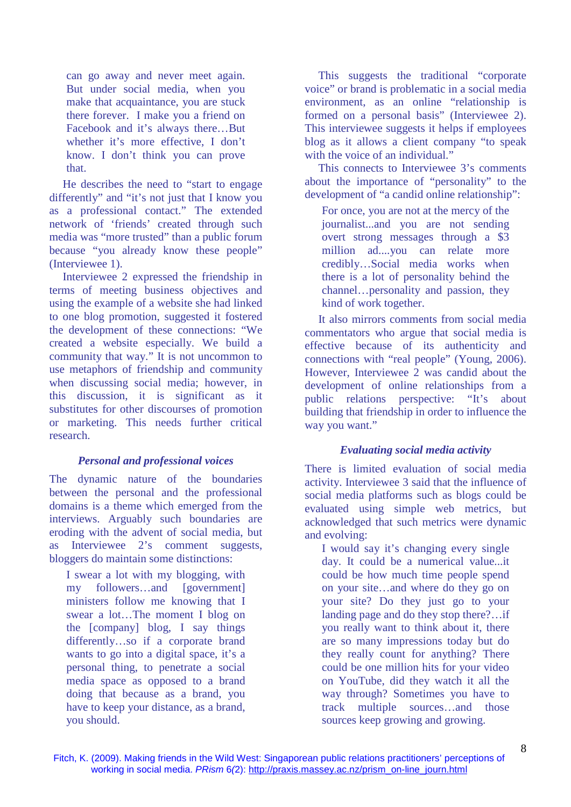can go away and never meet again. But under social media, when you make that acquaintance, you are stuck there forever. I make you a friend on Facebook and it's always there…But whether it's more effective, I don't know. I don't think you can prove that.

He describes the need to "start to engage differently" and "it's not just that I know you as a professional contact." The extended network of 'friends' created through such media was "more trusted" than a public forum because "you already know these people" (Interviewee 1).

Interviewee 2 expressed the friendship in terms of meeting business objectives and using the example of a website she had linked to one blog promotion, suggested it fostered the development of these connections: "We created a website especially. We build a community that way." It is not uncommon to use metaphors of friendship and community when discussing social media; however, in this discussion, it is significant as it substitutes for other discourses of promotion or marketing. This needs further critical research.

#### *Personal and professional voices*

The dynamic nature of the boundaries between the personal and the professional domains is a theme which emerged from the interviews. Arguably such boundaries are eroding with the advent of social media, but as Interviewee 2's comment suggests, bloggers do maintain some distinctions:

I swear a lot with my blogging, with my followers…and [government] ministers follow me knowing that I swear a lot…The moment I blog on the [company] blog, I say things differently…so if a corporate brand wants to go into a digital space, it's a personal thing, to penetrate a social media space as opposed to a brand doing that because as a brand, you have to keep your distance, as a brand, you should.

This suggests the traditional "corporate voice" or brand is problematic in a social media environment, as an online "relationship is formed on a personal basis" (Interviewee 2). This interviewee suggests it helps if employees blog as it allows a client company "to speak with the voice of an individual."

This connects to Interviewee 3's comments about the importance of "personality" to the development of "a candid online relationship":

For once, you are not at the mercy of the journalist...and you are not sending overt strong messages through a \$3 million ad....you can relate more credibly…Social media works when there is a lot of personality behind the channel…personality and passion, they kind of work together.

It also mirrors comments from social media commentators who argue that social media is effective because of its authenticity and connections with "real people" (Young, 2006). However, Interviewee 2 was candid about the development of online relationships from a public relations perspective: "It's about building that friendship in order to influence the way you want."

#### *Evaluating social media activity*

There is limited evaluation of social media activity. Interviewee 3 said that the influence of social media platforms such as blogs could be evaluated using simple web metrics, but acknowledged that such metrics were dynamic and evolving:

I would say it's changing every single day. It could be a numerical value...it could be how much time people spend on your site…and where do they go on your site? Do they just go to your landing page and do they stop there?…if you really want to think about it, there are so many impressions today but do they really count for anything? There could be one million hits for your video on YouTube, did they watch it all the way through? Sometimes you have to track multiple sources…and those sources keep growing and growing.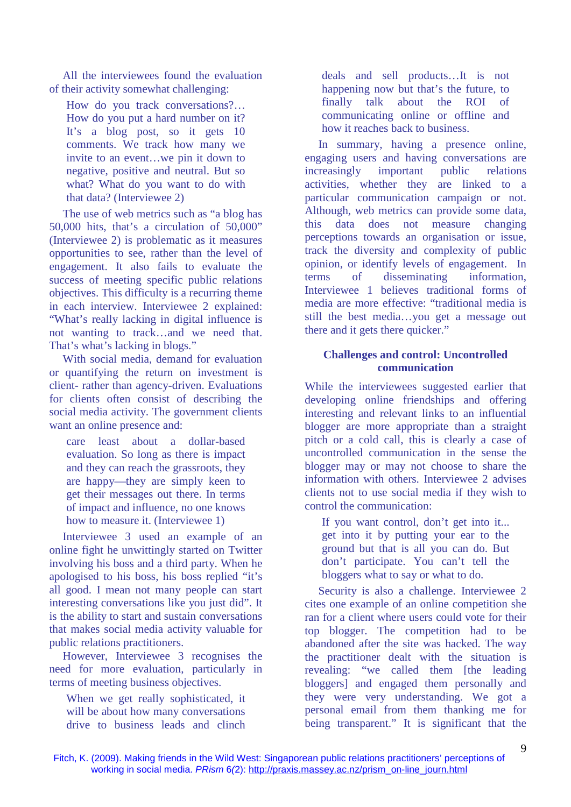All the interviewees found the evaluation of their activity somewhat challenging:

How do you track conversations?… How do you put a hard number on it? It's a blog post, so it gets 10 comments. We track how many we invite to an event…we pin it down to negative, positive and neutral. But so what? What do you want to do with that data? (Interviewee 2)

The use of web metrics such as "a blog has 50,000 hits, that's a circulation of 50,000" (Interviewee 2) is problematic as it measures opportunities to see, rather than the level of engagement. It also fails to evaluate the success of meeting specific public relations objectives. This difficulty is a recurring theme in each interview. Interviewee 2 explained: "What's really lacking in digital influence is not wanting to track…and we need that. That's what's lacking in blogs."

With social media, demand for evaluation or quantifying the return on investment is client- rather than agency-driven. Evaluations for clients often consist of describing the social media activity. The government clients want an online presence and:

care least about a dollar-based evaluation. So long as there is impact and they can reach the grassroots, they are happy—they are simply keen to get their messages out there. In terms of impact and influence, no one knows how to measure it. (Interviewee 1)

Interviewee 3 used an example of an online fight he unwittingly started on Twitter involving his boss and a third party. When he apologised to his boss, his boss replied "it's all good. I mean not many people can start interesting conversations like you just did". It is the ability to start and sustain conversations that makes social media activity valuable for public relations practitioners.

However, Interviewee 3 recognises the need for more evaluation, particularly in terms of meeting business objectives.

When we get really sophisticated, it will be about how many conversations drive to business leads and clinch deals and sell products…It is not happening now but that's the future, to finally talk about the ROI of communicating online or offline and how it reaches back to business.

In summary, having a presence online, engaging users and having conversations are increasingly important public relations activities, whether they are linked to a particular communication campaign or not. Although, web metrics can provide some data, this data does not measure changing perceptions towards an organisation or issue, track the diversity and complexity of public opinion, or identify levels of engagement. In terms of disseminating information, Interviewee 1 believes traditional forms of media are more effective: "traditional media is still the best media…you get a message out there and it gets there quicker."

## **Challenges and control: Uncontrolled communication**

While the interviewees suggested earlier that developing online friendships and offering interesting and relevant links to an influential blogger are more appropriate than a straight pitch or a cold call, this is clearly a case of uncontrolled communication in the sense the blogger may or may not choose to share the information with others. Interviewee 2 advises clients not to use social media if they wish to control the communication:

If you want control, don't get into it... get into it by putting your ear to the ground but that is all you can do. But don't participate. You can't tell the bloggers what to say or what to do.

Security is also a challenge. Interviewee 2 cites one example of an online competition she ran for a client where users could vote for their top blogger. The competition had to be abandoned after the site was hacked. The way the practitioner dealt with the situation is revealing: "we called them [the leading bloggers] and engaged them personally and they were very understanding. We got a personal email from them thanking me for being transparent." It is significant that the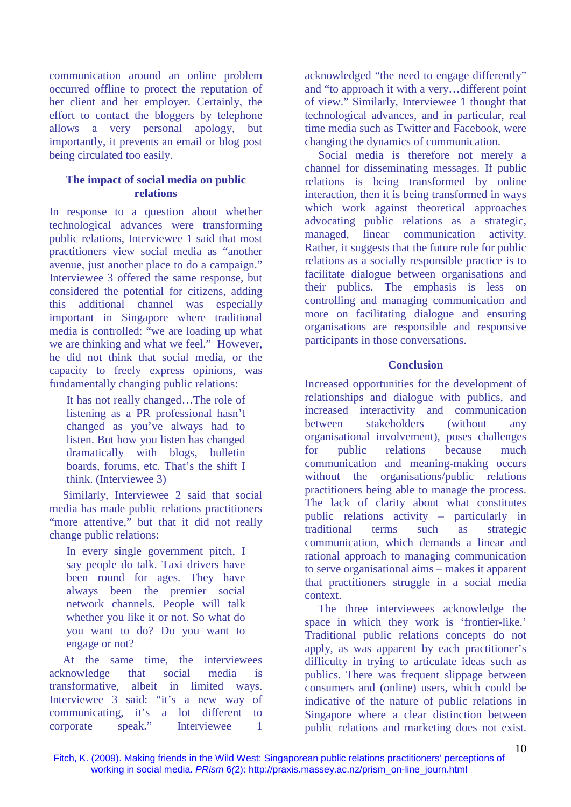communication around an online problem occurred offline to protect the reputation of her client and her employer. Certainly, the effort to contact the bloggers by telephone allows a very personal apology, but importantly, it prevents an email or blog post being circulated too easily.

## **The impact of social media on public relations**

In response to a question about whether technological advances were transforming public relations, Interviewee 1 said that most practitioners view social media as "another avenue, just another place to do a campaign." Interviewee 3 offered the same response, but considered the potential for citizens, adding this additional channel was especially important in Singapore where traditional media is controlled: "we are loading up what we are thinking and what we feel." However, he did not think that social media, or the capacity to freely express opinions, was fundamentally changing public relations:

It has not really changed…The role of listening as a PR professional hasn't changed as you've always had to listen. But how you listen has changed dramatically with blogs, bulletin boards, forums, etc. That's the shift I think. (Interviewee 3)

Similarly, Interviewee 2 said that social media has made public relations practitioners "more attentive," but that it did not really change public relations:

In every single government pitch, I say people do talk. Taxi drivers have been round for ages. They have always been the premier social network channels. People will talk whether you like it or not. So what do you want to do? Do you want to engage or not?

At the same time, the interviewees acknowledge that social media is transformative, albeit in limited ways. Interviewee 3 said: "it's a new way of communicating, it's a lot different to corporate speak." Interviewee 1

acknowledged "the need to engage differently" and "to approach it with a very…different point of view." Similarly, Interviewee 1 thought that technological advances, and in particular, real time media such as Twitter and Facebook, were changing the dynamics of communication.

Social media is therefore not merely a channel for disseminating messages. If public relations is being transformed by online interaction, then it is being transformed in ways which work against theoretical approaches advocating public relations as a strategic, managed, linear communication activity. Rather, it suggests that the future role for public relations as a socially responsible practice is to facilitate dialogue between organisations and their publics. The emphasis is less on controlling and managing communication and more on facilitating dialogue and ensuring organisations are responsible and responsive participants in those conversations.

## **Conclusion**

Increased opportunities for the development of relationships and dialogue with publics, and increased interactivity and communication between stakeholders (without any organisational involvement), poses challenges for public relations because much communication and meaning-making occurs without the organisations/public relations practitioners being able to manage the process. The lack of clarity about what constitutes public relations activity – particularly in traditional terms such as strategic communication, which demands a linear and rational approach to managing communication to serve organisational aims – makes it apparent that practitioners struggle in a social media context.

The three interviewees acknowledge the space in which they work is 'frontier-like.' Traditional public relations concepts do not apply, as was apparent by each practitioner's difficulty in trying to articulate ideas such as publics. There was frequent slippage between consumers and (online) users, which could be indicative of the nature of public relations in Singapore where a clear distinction between public relations and marketing does not exist.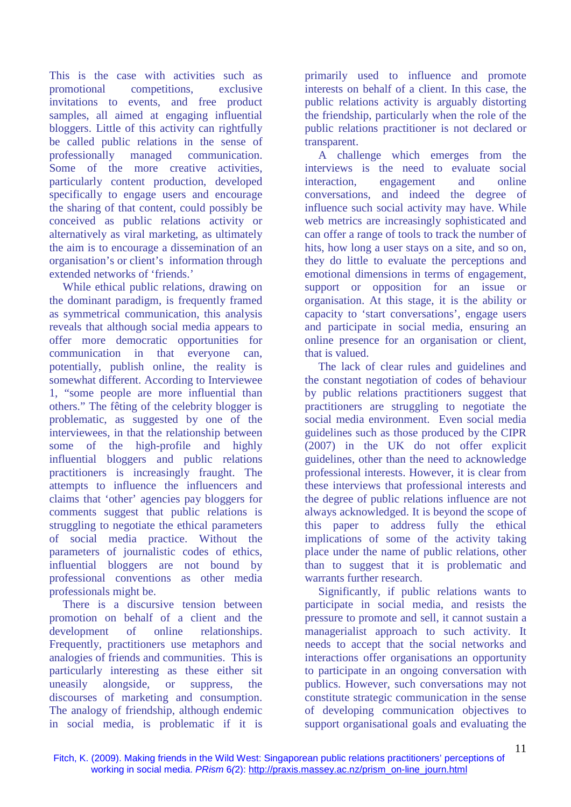This is the case with activities such as promotional competitions, exclusive invitations to events, and free product samples, all aimed at engaging influential bloggers. Little of this activity can rightfully be called public relations in the sense of professionally managed communication. Some of the more creative activities, particularly content production, developed specifically to engage users and encourage the sharing of that content, could possibly be conceived as public relations activity or alternatively as viral marketing, as ultimately the aim is to encourage a dissemination of an organisation's or client's information through extended networks of 'friends.'

While ethical public relations, drawing on the dominant paradigm, is frequently framed as symmetrical communication, this analysis reveals that although social media appears to offer more democratic opportunities for communication in that everyone can, potentially, publish online, the reality is somewhat different. According to Interviewee 1, "some people are more influential than others." The fêting of the celebrity blogger is problematic, as suggested by one of the interviewees, in that the relationship between some of the high-profile and highly influential bloggers and public relations practitioners is increasingly fraught. The attempts to influence the influencers and claims that 'other' agencies pay bloggers for comments suggest that public relations is struggling to negotiate the ethical parameters of social media practice. Without the parameters of journalistic codes of ethics, influential bloggers are not bound by professional conventions as other media professionals might be.

There is a discursive tension between promotion on behalf of a client and the development of online relationships. Frequently, practitioners use metaphors and analogies of friends and communities. This is particularly interesting as these either sit uneasily alongside, or suppress, the discourses of marketing and consumption. The analogy of friendship, although endemic in social media, is problematic if it is

primarily used to influence and promote interests on behalf of a client. In this case, the public relations activity is arguably distorting the friendship, particularly when the role of the public relations practitioner is not declared or transparent.

A challenge which emerges from the interviews is the need to evaluate social interaction, engagement and online conversations, and indeed the degree of influence such social activity may have. While web metrics are increasingly sophisticated and can offer a range of tools to track the number of hits, how long a user stays on a site, and so on, they do little to evaluate the perceptions and emotional dimensions in terms of engagement, support or opposition for an issue or organisation. At this stage, it is the ability or capacity to 'start conversations', engage users and participate in social media, ensuring an online presence for an organisation or client, that is valued.

The lack of clear rules and guidelines and the constant negotiation of codes of behaviour by public relations practitioners suggest that practitioners are struggling to negotiate the social media environment. Even social media guidelines such as those produced by the CIPR (2007) in the UK do not offer explicit guidelines, other than the need to acknowledge professional interests. However, it is clear from these interviews that professional interests and the degree of public relations influence are not always acknowledged. It is beyond the scope of this paper to address fully the ethical implications of some of the activity taking place under the name of public relations, other than to suggest that it is problematic and warrants further research.

Significantly, if public relations wants to participate in social media, and resists the pressure to promote and sell, it cannot sustain a managerialist approach to such activity. It needs to accept that the social networks and interactions offer organisations an opportunity to participate in an ongoing conversation with publics. However, such conversations may not constitute strategic communication in the sense of developing communication objectives to support organisational goals and evaluating the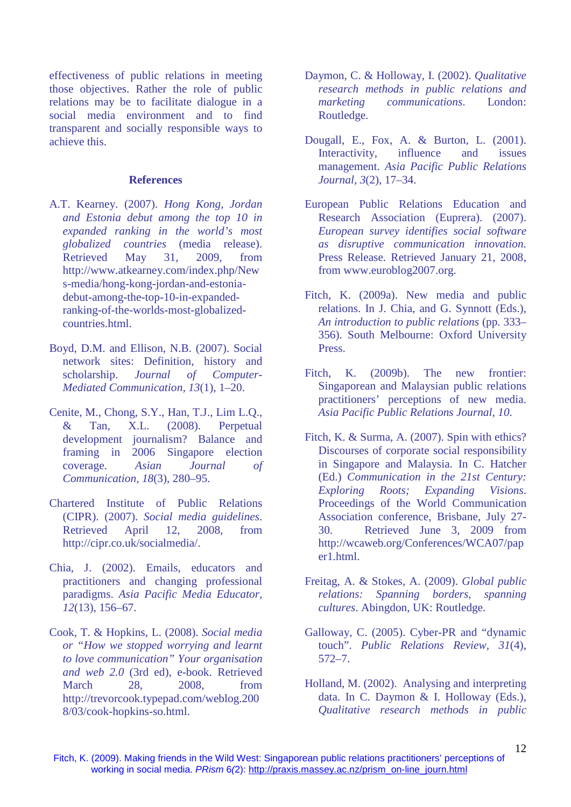effectiveness of public relations in meeting those objectives. Rather the role of public relations may be to facilitate dialogue in a social media environment and to find transparent and socially responsible ways to achieve this.

#### **References**

- A.T. Kearney. (2007). *Hong Kong, Jordan and Estonia debut among the top 10 in expanded ranking in the world's most globalized countries* (media release). Retrieved May 31, 2009, from http://www.atkearney.com/index.php/New s-media/hong-kong-jordan-and-estoniadebut-among-the-top-10-in-expandedranking-of-the-worlds-most-globalizedcountries.html.
- Boyd, D.M. and Ellison, N.B. (2007). Social network sites: Definition, history and scholarship. *Journal of Computer-Mediated Communication, 13*(1), 1–20.
- Cenite, M., Chong, S.Y., Han, T.J., Lim L.Q., & Tan, X.L. (2008). Perpetual development journalism? Balance and framing in 2006 Singapore election coverage. *Asian Journal of Communication, 18*(3), 280–95.
- Chartered Institute of Public Relations (CIPR). (2007). *Social media guidelines*. Retrieved April 12, 2008, from http://cipr.co.uk/socialmedia/.
- Chia, J. (2002). Emails, educators and practitioners and changing professional paradigms. *Asia Pacific Media Educator, 12*(13), 156–67.
- Cook, T. & Hopkins, L. (2008). *Social media or "How we stopped worrying and learnt to love communication" Your organisation and web 2.0* (3rd ed), e-book. Retrieved March 28, 2008, from http://trevorcook.typepad.com/weblog.200 8/03/cook-hopkins-so.html.
- Daymon, C. & Holloway, I. (2002). *Qualitative research methods in public relations and marketing communications*. London: Routledge.
- Dougall, E., Fox, A. & Burton, L. (2001). Interactivity, influence and issues management. *Asia Pacific Public Relations Journal, 3*(2), 17–34.
- European Public Relations Education and Research Association (Euprera). (2007). *European survey identifies social software as disruptive communication innovation.* Press Release. Retrieved January 21, 2008, from www.euroblog2007.org.
- Fitch, K. (2009a). New media and public relations. In J. Chia, and G. Synnott (Eds.), *An introduction to public relations* (pp. 333– 356). South Melbourne: Oxford University Press.
- Fitch, K. (2009b). The new frontier: Singaporean and Malaysian public relations practitioners' perceptions of new media. *Asia Pacific Public Relations Journal*, *10*.
- Fitch, K. & Surma, A. (2007). Spin with ethics? Discourses of corporate social responsibility in Singapore and Malaysia. In C. Hatcher (Ed.) *Communication in the 21st Century: Exploring Roots; Expanding Visions*. Proceedings of the World Communication Association conference, Brisbane, July 27- 30. Retrieved June 3, 2009 from http://wcaweb.org/Conferences/WCA07/pap er1.html.
- Freitag, A. & Stokes, A. (2009). *Global public relations: Spanning borders, spanning cultures*. Abingdon, UK: Routledge.
- Galloway, C. (2005). Cyber-PR and "dynamic touch". *Public Relations Review, 31*(4), 572–7.
- Holland, M. (2002). Analysing and interpreting data. In C. Daymon & I. Holloway (Eds.), *Qualitative research methods in public*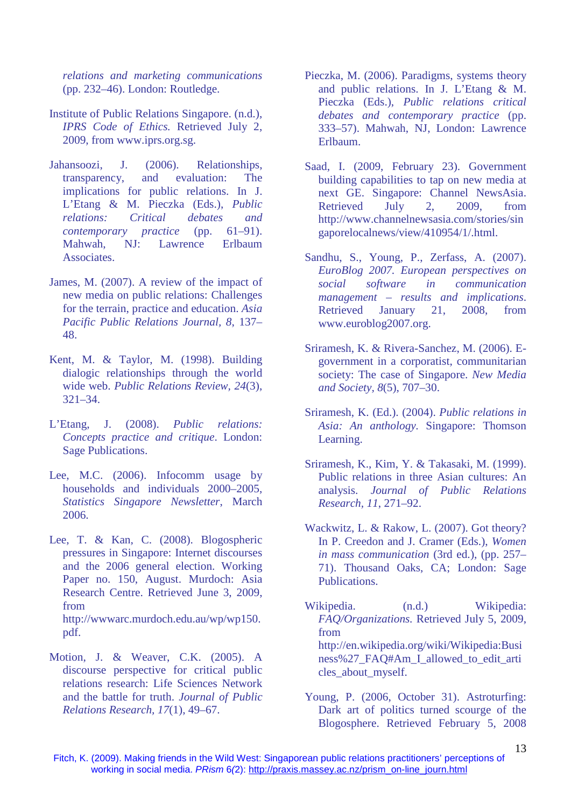*relations and marketing communications* (pp. 232–46). London: Routledge.

- Institute of Public Relations Singapore. (n.d.), *IPRS Code of Ethics.* Retrieved July 2, 2009, from www.iprs.org.sg.
- Jahansoozi, J. (2006). Relationships, transparency, and evaluation: The implications for public relations. In J. L'Etang & M. Pieczka (Eds.), *Public relations: Critical debates and contemporary practice* (pp. 61–91). Mahwah, NJ: Lawrence Erlbaum Associates.
- James, M. (2007). A review of the impact of new media on public relations: Challenges for the terrain, practice and education. *Asia Pacific Public Relations Journal, 8*, 137– 48.
- Kent, M. & Taylor, M. (1998). Building dialogic relationships through the world wide web. *Public Relations Review, 24*(3), 321–34.
- L'Etang, J. (2008). *Public relations: Concepts practice and critique*. London: Sage Publications.
- Lee, M.C. (2006). Infocomm usage by households and individuals 2000–2005, *Statistics Singapore Newsletter*, March 2006.
- Lee, T. & Kan, C. (2008). Blogospheric pressures in Singapore: Internet discourses and the 2006 general election. Working Paper no. 150, August. Murdoch: Asia Research Centre. Retrieved June 3, 2009, from http://wwwarc.murdoch.edu.au/wp/wp150.
- Motion, J. & Weaver, C.K. (2005). A discourse perspective for critical public relations research: Life Sciences Network and the battle for truth. *Journal of Public Relations Research, 17*(1), 49–67.

pdf.

- Pieczka, M. (2006). Paradigms, systems theory and public relations. In J. L'Etang & M. Pieczka (Eds.), *Public relations critical debates and contemporary practice* (pp. 333–57). Mahwah, NJ, London: Lawrence Erlbaum.
- Saad, I. (2009, February 23). Government building capabilities to tap on new media at next GE. Singapore: Channel NewsAsia. Retrieved July 2, 2009, from http://www.channelnewsasia.com/stories/sin gaporelocalnews/view/410954/1/.html.
- Sandhu, S., Young, P., Zerfass, A. (2007). *EuroBlog 2007. European perspectives on social software in communication management – results and implications*. Retrieved January 21, 2008, from www.euroblog2007.org.
- Sriramesh, K. & Rivera-Sanchez, M. (2006). Egovernment in a corporatist, communitarian society: The case of Singapore. *New Media and Society, 8*(5), 707–30.
- Sriramesh, K. (Ed.). (2004). *Public relations in Asia: An anthology.* Singapore: Thomson Learning.
- Sriramesh, K., Kim, Y. & Takasaki, M. (1999). Public relations in three Asian cultures: An analysis. *Journal of Public Relations Research, 11*, 271–92.
- Wackwitz, L. & Rakow, L. (2007). Got theory? In P. Creedon and J. Cramer (Eds.), *Women in mass communication* (3rd ed.), (pp. 257– 71). Thousand Oaks, CA; London: Sage Publications.
- Wikipedia. (n.d.) Wikipedia: *FAQ/Organizations.* Retrieved July 5, 2009, from http://en.wikipedia.org/wiki/Wikipedia:Busi ness%27\_FAQ#Am\_I\_allowed\_to\_edit\_arti cles about myself.
- Young, P. (2006, October 31). Astroturfing: Dark art of politics turned scourge of the Blogosphere. Retrieved February 5, 2008